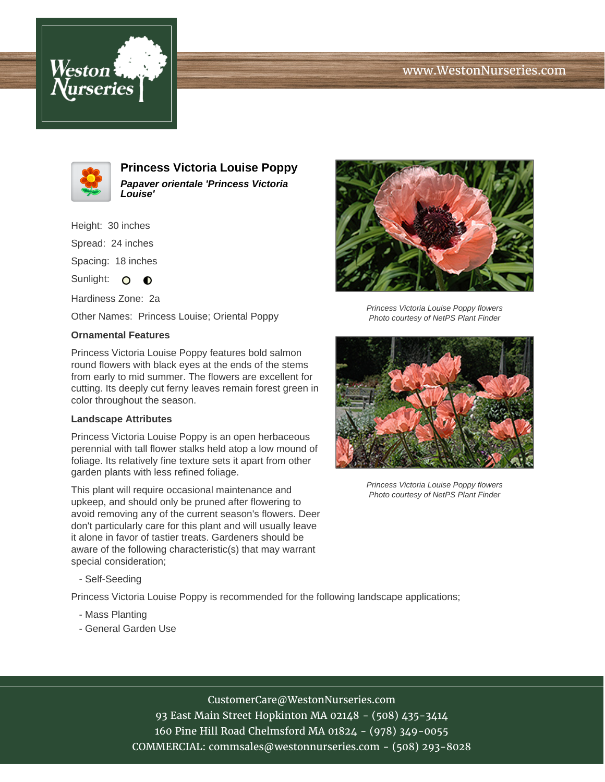## www.WestonNurseries.com





**Princess Victoria Louise Poppy Papaver orientale 'Princess Victoria Louise'**

Height: 30 inches

Spread: 24 inches

Spacing: 18 inches

Sunlight:  $\circ$   $\bullet$ 

Hardiness Zone: 2a

Other Names: Princess Louise; Oriental Poppy

## **Ornamental Features**

Princess Victoria Louise Poppy features bold salmon round flowers with black eyes at the ends of the stems from early to mid summer. The flowers are excellent for cutting. Its deeply cut ferny leaves remain forest green in color throughout the season.

## **Landscape Attributes**

Princess Victoria Louise Poppy is an open herbaceous perennial with tall flower stalks held atop a low mound of foliage. Its relatively fine texture sets it apart from other garden plants with less refined foliage.

This plant will require occasional maintenance and upkeep, and should only be pruned after flowering to avoid removing any of the current season's flowers. Deer don't particularly care for this plant and will usually leave it alone in favor of tastier treats. Gardeners should be aware of the following characteristic(s) that may warrant special consideration;

- Self-Seeding

Princess Victoria Louise Poppy is recommended for the following landscape applications;

- Mass Planting
- General Garden Use



Princess Victoria Louise Poppy flowers Photo courtesy of NetPS Plant Finder



Princess Victoria Louise Poppy flowers Photo courtesy of NetPS Plant Finder

CustomerCare@WestonNurseries.com

93 East Main Street Hopkinton MA 02148 - (508) 435-3414 160 Pine Hill Road Chelmsford MA 01824 - (978) 349-0055 COMMERCIAL: commsales@westonnurseries.com - (508) 293-8028